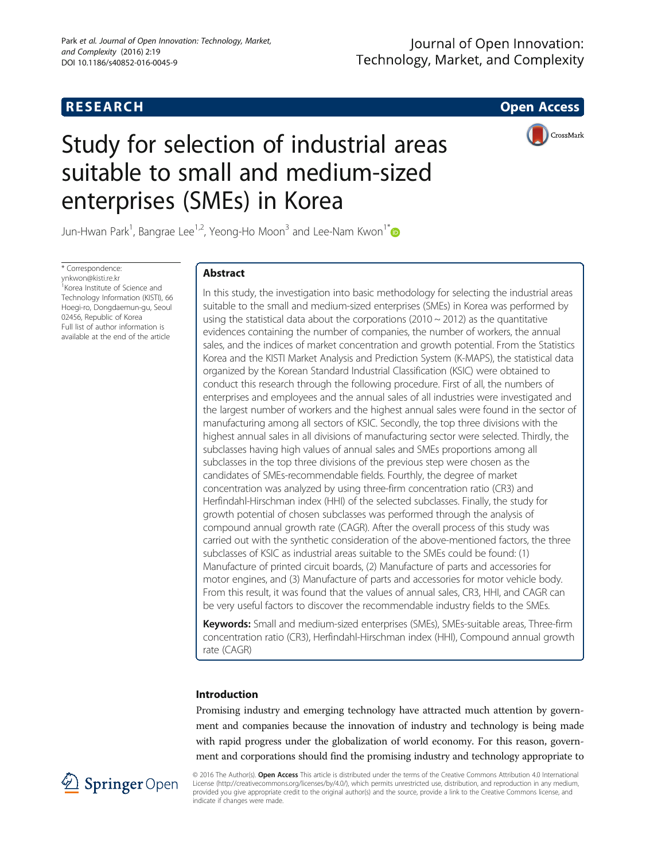# **RESEARCH RESEARCH CONSUMING ACCESS**

# Journal of Open Innovation: Technology, Market, and Complexity

# Study for selection of industrial areas suitable to small and medium-sized enterprises (SMEs) in Korea



Jun-Hwan Park<sup>1</sup>, Bangrae Lee<sup>1,2</sup>, Yeong-Ho Moon<sup>3</sup> and Lee-Nam Kwon<sup>1[\\*](http://orcid.org/0000-0002-3503-7669)</sup>

\* Correspondence: [ynkwon@kisti.re.kr](mailto:ynkwon@kisti.re.kr) <sup>1</sup> Korea Institute of Science and Technology Information (KISTI), 66 Hoegi-ro, Dongdaemun-gu, Seoul 02456, Republic of Korea Full list of author information is available at the end of the article

# Abstract

In this study, the investigation into basic methodology for selecting the industrial areas suitable to the small and medium-sized enterprises (SMEs) in Korea was performed by using the statistical data about the corporations ( $2010 \sim 2012$ ) as the quantitative evidences containing the number of companies, the number of workers, the annual sales, and the indices of market concentration and growth potential. From the Statistics Korea and the KISTI Market Analysis and Prediction System (K-MAPS), the statistical data organized by the Korean Standard Industrial Classification (KSIC) were obtained to conduct this research through the following procedure. First of all, the numbers of enterprises and employees and the annual sales of all industries were investigated and the largest number of workers and the highest annual sales were found in the sector of manufacturing among all sectors of KSIC. Secondly, the top three divisions with the highest annual sales in all divisions of manufacturing sector were selected. Thirdly, the subclasses having high values of annual sales and SMEs proportions among all subclasses in the top three divisions of the previous step were chosen as the candidates of SMEs-recommendable fields. Fourthly, the degree of market concentration was analyzed by using three-firm concentration ratio (CR3) and Herfindahl-Hirschman index (HHI) of the selected subclasses. Finally, the study for growth potential of chosen subclasses was performed through the analysis of compound annual growth rate (CAGR). After the overall process of this study was carried out with the synthetic consideration of the above-mentioned factors, the three subclasses of KSIC as industrial areas suitable to the SMEs could be found: (1) Manufacture of printed circuit boards, (2) Manufacture of parts and accessories for motor engines, and (3) Manufacture of parts and accessories for motor vehicle body. From this result, it was found that the values of annual sales, CR3, HHI, and CAGR can be very useful factors to discover the recommendable industry fields to the SMEs.

Keywords: Small and medium-sized enterprises (SMEs), SMEs-suitable areas, Three-firm concentration ratio (CR3), Herfindahl-Hirschman index (HHI), Compound annual growth rate (CAGR)

# Introduction

Promising industry and emerging technology have attracted much attention by government and companies because the innovation of industry and technology is being made with rapid progress under the globalization of world economy. For this reason, government and corporations should find the promising industry and technology appropriate to



© 2016 The Author(s). Open Access This article is distributed under the terms of the Creative Commons Attribution 4.0 International License [\(http://creativecommons.org/licenses/by/4.0/](http://creativecommons.org/licenses/by/4.0/)), which permits unrestricted use, distribution, and reproduction in any medium, provided you give appropriate credit to the original author(s) and the source, provide a link to the Creative Commons license, and indicate if changes were made.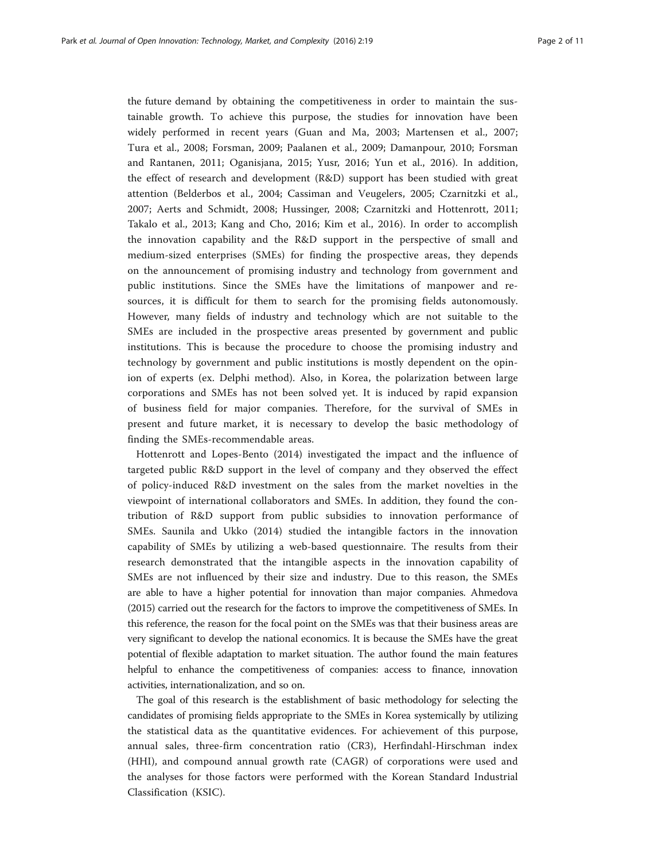the future demand by obtaining the competitiveness in order to maintain the sustainable growth. To achieve this purpose, the studies for innovation have been widely performed in recent years (Guan and Ma, [2003](#page-10-0); Martensen et al., [2007](#page-10-0); Tura et al., [2008](#page-10-0); Forsman, [2009](#page-10-0); Paalanen et al., [2009](#page-10-0); Damanpour, [2010](#page-10-0); Forsman and Rantanen, [2011;](#page-10-0) Oganisjana, [2015](#page-10-0); Yusr, [2016](#page-10-0); Yun et al., [2016\)](#page-10-0). In addition, the effect of research and development (R&D) support has been studied with great attention (Belderbos et al., [2004](#page-10-0); Cassiman and Veugelers, [2005;](#page-10-0) Czarnitzki et al., [2007;](#page-10-0) Aerts and Schmidt, [2008;](#page-10-0) Hussinger, [2008;](#page-10-0) Czarnitzki and Hottenrott, [2011](#page-10-0); Takalo et al., [2013](#page-10-0); Kang and Cho, [2016;](#page-10-0) Kim et al., [2016\)](#page-10-0). In order to accomplish the innovation capability and the R&D support in the perspective of small and medium-sized enterprises (SMEs) for finding the prospective areas, they depends on the announcement of promising industry and technology from government and public institutions. Since the SMEs have the limitations of manpower and resources, it is difficult for them to search for the promising fields autonomously. However, many fields of industry and technology which are not suitable to the SMEs are included in the prospective areas presented by government and public institutions. This is because the procedure to choose the promising industry and technology by government and public institutions is mostly dependent on the opinion of experts (ex. Delphi method). Also, in Korea, the polarization between large corporations and SMEs has not been solved yet. It is induced by rapid expansion of business field for major companies. Therefore, for the survival of SMEs in present and future market, it is necessary to develop the basic methodology of finding the SMEs-recommendable areas.

Hottenrott and Lopes-Bento ([2014\)](#page-10-0) investigated the impact and the influence of targeted public R&D support in the level of company and they observed the effect of policy-induced R&D investment on the sales from the market novelties in the viewpoint of international collaborators and SMEs. In addition, they found the contribution of R&D support from public subsidies to innovation performance of SMEs. Saunila and Ukko [\(2014](#page-10-0)) studied the intangible factors in the innovation capability of SMEs by utilizing a web-based questionnaire. The results from their research demonstrated that the intangible aspects in the innovation capability of SMEs are not influenced by their size and industry. Due to this reason, the SMEs are able to have a higher potential for innovation than major companies. Ahmedova ([2015\)](#page-10-0) carried out the research for the factors to improve the competitiveness of SMEs. In this reference, the reason for the focal point on the SMEs was that their business areas are very significant to develop the national economics. It is because the SMEs have the great potential of flexible adaptation to market situation. The author found the main features helpful to enhance the competitiveness of companies: access to finance, innovation activities, internationalization, and so on.

The goal of this research is the establishment of basic methodology for selecting the candidates of promising fields appropriate to the SMEs in Korea systemically by utilizing the statistical data as the quantitative evidences. For achievement of this purpose, annual sales, three-firm concentration ratio (CR3), Herfindahl-Hirschman index (HHI), and compound annual growth rate (CAGR) of corporations were used and the analyses for those factors were performed with the Korean Standard Industrial Classification (KSIC).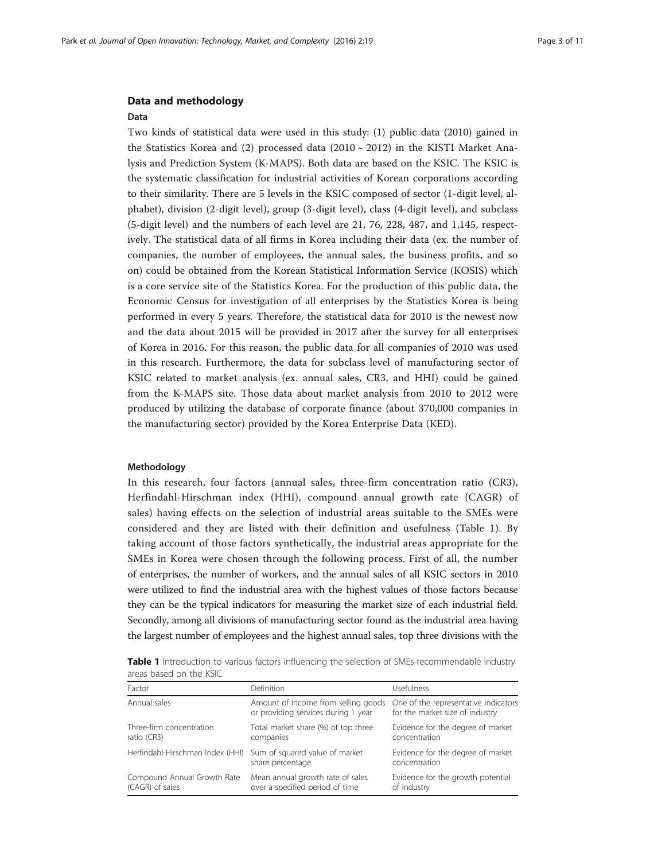#### Data and methodology

#### Data

Two kinds of statistical data were used in this study: (1) public data (2010) gained in the Statistics Korea and (2) processed data  $(2010 \sim 2012)$  in the KISTI Market Analysis and Prediction System [\(K-MAPS\).](#page-10-0) Both data are based on the KSIC. The KSIC is the systematic classification for industrial activities of Korean corporations according to their similarity. There are 5 levels in the KSIC composed of sector (1-digit level, alphabet), division (2-digit level), group (3-digit level), class (4-digit level), and subclass (5-digit level) and the numbers of each level are 21, 76, 228, 487, and 1,145, respectively. The statistical data of all firms in Korea including their data (ex. the number of companies, the number of employees, the annual sales, the business profits, and so on) could be obtained from the Korean Statistical Information Service [\(KOSIS\)](#page-10-0) which is a core service site of the Statistics Korea. For the production of this public data, the Economic Census for investigation of all enterprises by the Statistics Korea is being performed in every 5 years. Therefore, the statistical data for 2010 is the newest now and the data about 2015 will be provided in 2017 after the survey for all enterprises of Korea in 2016. For this reason, the public data for all companies of 2010 was used in this research. Furthermore, the data for subclass level of manufacturing sector of KSIC related to market analysis (ex. annual sales, CR3, and HHI) could be gained from the K-MAPS site. Those data about market analysis from 2010 to 2012 were produced by utilizing the database of corporate finance (about 370,000 companies in the manufacturing sector) provided by the Korea Enterprise Data (KED).

#### Methodology

In this research, four factors (annual sales, three-firm concentration ratio (CR3), Herfindahl-Hirschman index (HHI), compound annual growth rate (CAGR) of sales) having effects on the selection of industrial areas suitable to the SMEs were considered and they are listed with their definition and usefulness (Table 1). By taking account of those factors synthetically, the industrial areas appropriate for the SMEs in Korea were chosen through the following process. First of all, the number of enterprises, the number of workers, and the annual sales of all KSIC sectors in 2010 were utilized to find the industrial area with the highest values of those factors because they can be the typical indicators for measuring the market size of each industrial field. Secondly, among all divisions of manufacturing sector found as the industrial area having the largest number of employees and the highest annual sales, top three divisions with the

|                         | <b>Table 1</b> Introduction to various factors influencing the selection of SMEs-recommendable industry |  |
|-------------------------|---------------------------------------------------------------------------------------------------------|--|
| areas based on the KSIC |                                                                                                         |  |

| Factor                                         | <b>Definition</b>                                                          | <b>Usefulness</b>                                                       |
|------------------------------------------------|----------------------------------------------------------------------------|-------------------------------------------------------------------------|
| Annual sales                                   | Amount of income from selling goods<br>or providing services during 1 year | One of the representative indicators<br>for the market size of industry |
| Three-firm concentration<br>ratio (CR3)        | Total market share (%) of top three<br>companies                           | Evidence for the degree of market<br>concentration                      |
| Herfindahl-Hirschman Index (HHI)               | Sum of squared value of market<br>share percentage                         | Evidence for the degree of market<br>concentration                      |
| Compound Annual Growth Rate<br>(CAGR) of sales | Mean annual growth rate of sales<br>over a specified period of time        | Evidence for the growth potential<br>of industry                        |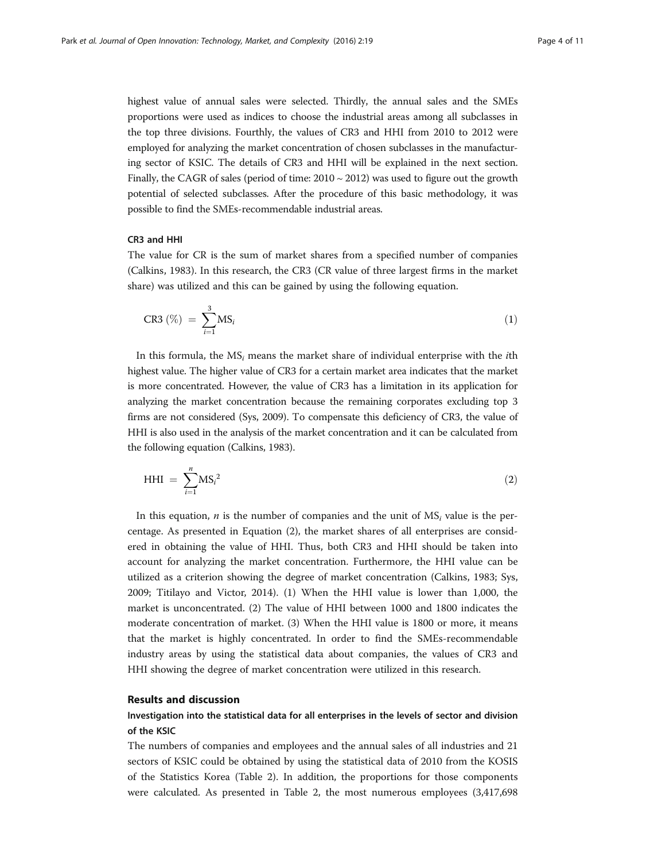highest value of annual sales were selected. Thirdly, the annual sales and the SMEs proportions were used as indices to choose the industrial areas among all subclasses in the top three divisions. Fourthly, the values of CR3 and HHI from 2010 to 2012 were employed for analyzing the market concentration of chosen subclasses in the manufacturing sector of KSIC. The details of CR3 and HHI will be explained in the next section. Finally, the CAGR of sales (period of time:  $2010 \sim 2012$ ) was used to figure out the growth potential of selected subclasses. After the procedure of this basic methodology, it was possible to find the SMEs-recommendable industrial areas.

## CR3 and HHI

The value for CR is the sum of market shares from a specified number of companies (Calkins, [1983](#page-10-0)). In this research, the CR3 (CR value of three largest firms in the market share) was utilized and this can be gained by using the following equation.

$$
CR3\ (\%)\ =\ \sum_{i=1}^{3} MS_i\tag{1}
$$

In this formula, the  $MS_i$  means the market share of individual enterprise with the *i*th highest value. The higher value of CR3 for a certain market area indicates that the market is more concentrated. However, the value of CR3 has a limitation in its application for analyzing the market concentration because the remaining corporates excluding top 3 firms are not considered (Sys, [2009](#page-10-0)). To compensate this deficiency of CR3, the value of HHI is also used in the analysis of the market concentration and it can be calculated from the following equation (Calkins, [1983\)](#page-10-0).

$$
HHI = \sum_{i=1}^{n} MS_i^2 \tag{2}
$$

In this equation, *n* is the number of companies and the unit of  $MS_i$  value is the percentage. As presented in Equation (2), the market shares of all enterprises are considered in obtaining the value of HHI. Thus, both CR3 and HHI should be taken into account for analyzing the market concentration. Furthermore, the HHI value can be utilized as a criterion showing the degree of market concentration (Calkins, [1983](#page-10-0); Sys, [2009](#page-10-0); Titilayo and Victor, [2014\)](#page-10-0). (1) When the HHI value is lower than 1,000, the market is unconcentrated. (2) The value of HHI between 1000 and 1800 indicates the moderate concentration of market. (3) When the HHI value is 1800 or more, it means that the market is highly concentrated. In order to find the SMEs-recommendable industry areas by using the statistical data about companies, the values of CR3 and HHI showing the degree of market concentration were utilized in this research.

### Results and discussion

# Investigation into the statistical data for all enterprises in the levels of sector and division of the KSIC

The numbers of companies and employees and the annual sales of all industries and 21 sectors of KSIC could be obtained by using the statistical data of 2010 from the KOSIS of the Statistics Korea (Table [2](#page-4-0)). In addition, the proportions for those components were calculated. As presented in Table [2](#page-4-0), the most numerous employees (3,417,698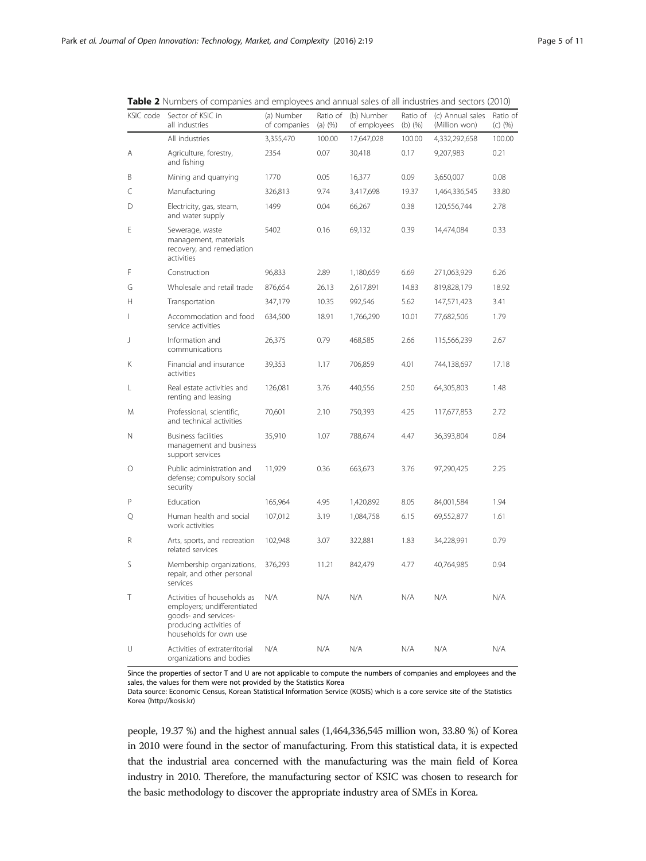| KSIC code | Sector of KSIC in<br>all industries                                                                                                     | (a) Number<br>of companies | Ratio of<br>$(a)$ $(%)$ | (b) Number<br>of employees | Ratio of<br>$(b)$ $(%$ | (c) Annual sales<br>(Million won) | Ratio of<br>$(C)$ $(% )$ |
|-----------|-----------------------------------------------------------------------------------------------------------------------------------------|----------------------------|-------------------------|----------------------------|------------------------|-----------------------------------|--------------------------|
|           | All industries                                                                                                                          | 3,355,470                  | 100.00                  | 17,647,028                 | 100.00                 | 4,332,292,658                     | 100.00                   |
| Α         | Agriculture, forestry,<br>and fishing                                                                                                   | 2354                       | 0.07                    | 30,418                     | 0.17                   | 9,207,983                         | 0.21                     |
| B         | Mining and quarrying                                                                                                                    | 1770                       | 0.05                    | 16,377                     | 0.09                   | 3,650,007                         | 0.08                     |
| C         | Manufacturing                                                                                                                           | 326,813                    | 9.74                    | 3,417,698                  | 19.37                  | 1,464,336,545                     | 33.80                    |
| D         | Electricity, gas, steam,<br>and water supply                                                                                            | 1499                       | 0.04                    | 66,267                     | 0.38                   | 120,556,744                       | 2.78                     |
| E         | Sewerage, waste<br>management, materials<br>recovery, and remediation<br>activities                                                     | 5402                       | 0.16                    | 69,132                     | 0.39                   | 14,474,084                        | 0.33                     |
| F         | Construction                                                                                                                            | 96,833                     | 2.89                    | 1,180,659                  | 6.69                   | 271,063,929                       | 6.26                     |
| G         | Wholesale and retail trade                                                                                                              | 876,654                    | 26.13                   | 2,617,891                  | 14.83                  | 819,828,179                       | 18.92                    |
| Н         | Transportation                                                                                                                          | 347,179                    | 10.35                   | 992,546                    | 5.62                   | 147,571,423                       | 3.41                     |
| L         | Accommodation and food<br>service activities                                                                                            | 634,500                    | 18.91                   | 1,766,290                  | 10.01                  | 77,682,506                        | 1.79                     |
| J         | Information and<br>communications                                                                                                       | 26,375                     | 0.79                    | 468,585                    | 2.66                   | 115,566,239                       | 2.67                     |
| Κ         | Financial and insurance<br>activities                                                                                                   | 39,353                     | 1.17                    | 706,859                    | 4.01                   | 744,138,697                       | 17.18                    |
| L         | Real estate activities and<br>renting and leasing                                                                                       | 126,081                    | 3.76                    | 440,556                    | 2.50                   | 64,305,803                        | 1.48                     |
| M         | Professional, scientific,<br>and technical activities                                                                                   | 70,601                     | 2.10                    | 750,393                    | 4.25                   | 117,677,853                       | 2.72                     |
| N         | <b>Business facilities</b><br>management and business<br>support services                                                               | 35,910                     | 1.07                    | 788,674                    | 4.47                   | 36,393,804                        | 0.84                     |
| О         | Public administration and<br>defense; compulsory social<br>security                                                                     | 11,929                     | 0.36                    | 663,673                    | 3.76                   | 97,290,425                        | 2.25                     |
| P         | Education                                                                                                                               | 165,964                    | 4.95                    | 1,420,892                  | 8.05                   | 84,001,584                        | 1.94                     |
| О         | Human health and social<br>work activities                                                                                              | 107,012                    | 3.19                    | 1,084,758                  | 6.15                   | 69,552,877                        | 1.61                     |
| R         | Arts, sports, and recreation<br>related services                                                                                        | 102,948                    | 3.07                    | 322,881                    | 1.83                   | 34,228,991                        | 0.79                     |
| S         | Membership organizations,<br>repair, and other personal<br>services                                                                     | 376,293                    | 11.21                   | 842,479                    | 4.77                   | 40,764,985                        | 0.94                     |
| Τ         | Activities of households as<br>employers; undifferentiated<br>goods- and services-<br>producing activities of<br>households for own use | N/A                        | N/A                     | N/A                        | N/A                    | N/A                               | N/A                      |
| U         | Activities of extraterritorial<br>organizations and bodies                                                                              | N/A                        | N/A                     | N/A                        | N/A                    | N/A                               | N/A                      |

<span id="page-4-0"></span>Table 2 Numbers of companies and employees and annual sales of all industries and sectors (2010)

Since the properties of sector T and U are not applicable to compute the numbers of companies and employees and the sales, the values for them were not provided by the Statistics Korea

Data source: Economic Census, Korean Statistical Information Service (KOSIS) which is a core service site of the Statistics Korea [\(http://kosis.kr](http://kosis.kr/))

people, 19.37 %) and the highest annual sales (1,464,336,545 million won, 33.80 %) of Korea in 2010 were found in the sector of manufacturing. From this statistical data, it is expected that the industrial area concerned with the manufacturing was the main field of Korea industry in 2010. Therefore, the manufacturing sector of KSIC was chosen to research for the basic methodology to discover the appropriate industry area of SMEs in Korea.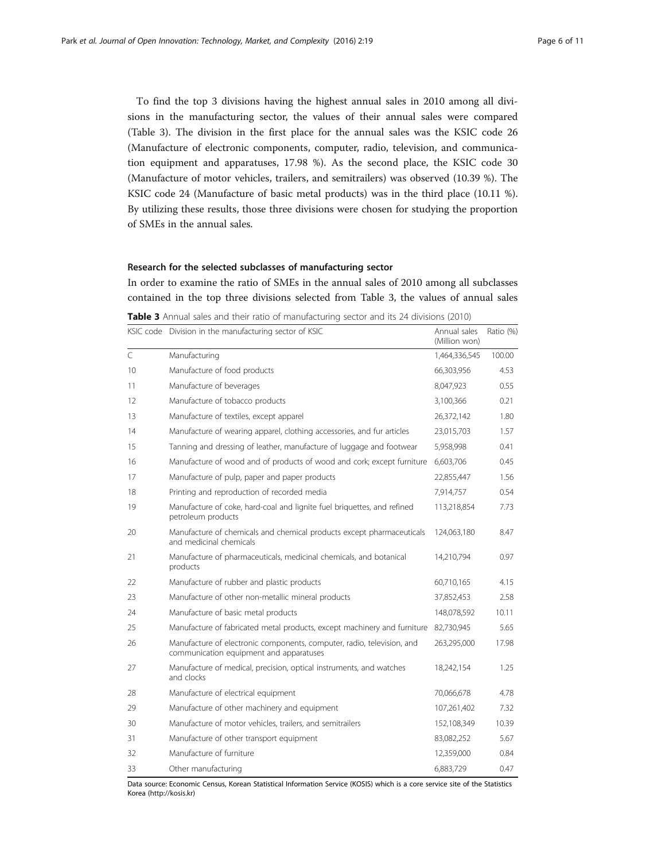<span id="page-5-0"></span>To find the top 3 divisions having the highest annual sales in 2010 among all divisions in the manufacturing sector, the values of their annual sales were compared (Table 3). The division in the first place for the annual sales was the KSIC code 26 (Manufacture of electronic components, computer, radio, television, and communication equipment and apparatuses, 17.98 %). As the second place, the KSIC code 30 (Manufacture of motor vehicles, trailers, and semitrailers) was observed (10.39 %). The KSIC code 24 (Manufacture of basic metal products) was in the third place (10.11 %). By utilizing these results, those three divisions were chosen for studying the proportion of SMEs in the annual sales.

## Research for the selected subclasses of manufacturing sector

In order to examine the ratio of SMEs in the annual sales of 2010 among all subclasses contained in the top three divisions selected from Table 3, the values of annual sales

Table 3 Annual sales and their ratio of manufacturing sector and its 24 divisions (2010)

|    | KSIC code Division in the manufacturing sector of KSIC                                                            | Annual sales<br>(Million won) | Ratio (%) |
|----|-------------------------------------------------------------------------------------------------------------------|-------------------------------|-----------|
| C  | Manufacturing                                                                                                     | 1,464,336,545                 | 100.00    |
| 10 | Manufacture of food products                                                                                      | 66,303,956                    | 4.53      |
| 11 | Manufacture of beverages                                                                                          | 8,047,923                     | 0.55      |
| 12 | Manufacture of tobacco products                                                                                   | 3,100,366                     | 0.21      |
| 13 | Manufacture of textiles, except apparel                                                                           | 26,372,142                    | 1.80      |
| 14 | Manufacture of wearing apparel, clothing accessories, and fur articles                                            | 23,015,703                    | 1.57      |
| 15 | Tanning and dressing of leather, manufacture of luggage and footwear                                              | 5,958,998                     | 0.41      |
| 16 | Manufacture of wood and of products of wood and cork; except furniture                                            | 6,603,706                     | 0.45      |
| 17 | Manufacture of pulp, paper and paper products                                                                     | 22,855,447                    | 1.56      |
| 18 | Printing and reproduction of recorded media                                                                       | 7,914,757                     | 0.54      |
| 19 | Manufacture of coke, hard-coal and lignite fuel briquettes, and refined<br>petroleum products                     | 113,218,854                   | 7.73      |
| 20 | Manufacture of chemicals and chemical products except pharmaceuticals<br>and medicinal chemicals                  | 124,063,180                   | 8.47      |
| 21 | Manufacture of pharmaceuticals, medicinal chemicals, and botanical<br>products                                    | 14,210,794                    | 0.97      |
| 22 | Manufacture of rubber and plastic products                                                                        | 60,710,165                    | 4.15      |
| 23 | Manufacture of other non-metallic mineral products                                                                | 37,852,453                    | 2.58      |
| 24 | Manufacture of basic metal products                                                                               | 148,078,592                   | 10.11     |
| 25 | Manufacture of fabricated metal products, except machinery and furniture                                          | 82,730,945                    | 5.65      |
| 26 | Manufacture of electronic components, computer, radio, television, and<br>communication equipment and apparatuses | 263,295,000                   | 17.98     |
| 27 | Manufacture of medical, precision, optical instruments, and watches<br>and clocks                                 | 18,242,154                    | 1.25      |
| 28 | Manufacture of electrical equipment                                                                               | 70.066.678                    | 4.78      |
| 29 | Manufacture of other machinery and equipment                                                                      | 107,261,402                   | 7.32      |
| 30 | Manufacture of motor vehicles, trailers, and semitrailers                                                         | 152,108,349                   | 10.39     |
| 31 | Manufacture of other transport equipment                                                                          | 83,082,252                    | 5.67      |
| 32 | Manufacture of furniture                                                                                          | 12,359,000                    | 0.84      |
| 33 | Other manufacturing                                                                                               | 6,883,729                     | 0.47      |

Data source: Economic Census, Korean Statistical Information Service (KOSIS) which is a core service site of the Statistics Korea [\(http://kosis.kr](http://kosis.kr/))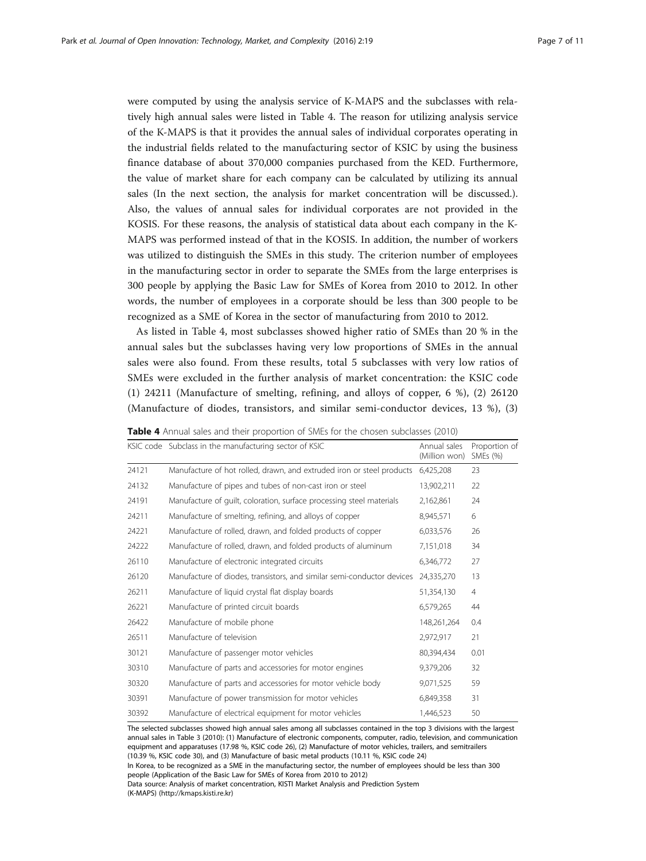<span id="page-6-0"></span>were computed by using the analysis service of K-MAPS and the subclasses with relatively high annual sales were listed in Table 4. The reason for utilizing analysis service of the K-MAPS is that it provides the annual sales of individual corporates operating in the industrial fields related to the manufacturing sector of KSIC by using the business finance database of about 370,000 companies purchased from the KED. Furthermore, the value of market share for each company can be calculated by utilizing its annual sales (In the next section, the analysis for market concentration will be discussed.). Also, the values of annual sales for individual corporates are not provided in the KOSIS. For these reasons, the analysis of statistical data about each company in the K-MAPS was performed instead of that in the KOSIS. In addition, the number of workers was utilized to distinguish the SMEs in this study. The criterion number of employees in the manufacturing sector in order to separate the SMEs from the large enterprises is 300 people by applying the Basic Law for SMEs of Korea from 2010 to 2012. In other words, the number of employees in a corporate should be less than 300 people to be recognized as a SME of Korea in the sector of manufacturing from 2010 to 2012.

As listed in Table 4, most subclasses showed higher ratio of SMEs than 20 % in the annual sales but the subclasses having very low proportions of SMEs in the annual sales were also found. From these results, total 5 subclasses with very low ratios of SMEs were excluded in the further analysis of market concentration: the KSIC code (1) 24211 (Manufacture of smelting, refining, and alloys of copper, 6 %), (2) 26120 (Manufacture of diodes, transistors, and similar semi-conductor devices, 13 %), (3)

|       | KSIC code Subclass in the manufacturing sector of KSIC                 | Annual sales<br>(Million won) | Proportion of<br>SMEs (%) |
|-------|------------------------------------------------------------------------|-------------------------------|---------------------------|
| 24121 | Manufacture of hot rolled, drawn, and extruded iron or steel products  | 6,425,208                     | 23                        |
| 24132 | Manufacture of pipes and tubes of non-cast iron or steel               | 13,902,211                    | 22                        |
| 24191 | Manufacture of quilt, coloration, surface processing steel materials   | 2,162,861                     | 24                        |
| 24211 | Manufacture of smelting, refining, and alloys of copper                | 8,945,571                     | 6                         |
| 24221 | Manufacture of rolled, drawn, and folded products of copper            | 6,033,576                     | 26                        |
| 24222 | Manufacture of rolled, drawn, and folded products of aluminum          | 7,151,018                     | 34                        |
| 26110 | Manufacture of electronic integrated circuits                          | 6,346,772                     | 27                        |
| 26120 | Manufacture of diodes, transistors, and similar semi-conductor devices | 24,335,270                    | 13                        |
| 26211 | Manufacture of liquid crystal flat display boards                      | 51,354,130                    | $\overline{4}$            |
| 26221 | Manufacture of printed circuit boards                                  | 6,579,265                     | 44                        |
| 26422 | Manufacture of mobile phone                                            | 148,261,264                   | 0.4                       |
| 26511 | Manufacture of television                                              | 2,972,917                     | 21                        |
| 30121 | Manufacture of passenger motor vehicles                                | 80,394,434                    | 0.01                      |
| 30310 | Manufacture of parts and accessories for motor engines                 | 9,379,206                     | 32                        |
| 30320 | Manufacture of parts and accessories for motor vehicle body            | 9,071,525                     | 59                        |
| 30391 | Manufacture of power transmission for motor vehicles                   | 6,849,358                     | 31                        |
| 30392 | Manufacture of electrical equipment for motor vehicles                 | 1.446.523                     | 50                        |

Table 4 Annual sales and their proportion of SMEs for the chosen subclasses (2010)

The selected subclasses showed high annual sales among all subclasses contained in the top 3 divisions with the largest annual sales in Table [3](#page-5-0) (2010): (1) Manufacture of electronic components, computer, radio, television, and communication equipment and apparatuses (17.98 %, KSIC code 26), (2) Manufacture of motor vehicles, trailers, and semitrailers (10.39 %, KSIC code 30), and (3) Manufacture of basic metal products (10.11 %, KSIC code 24) In Korea, to be recognized as a SME in the manufacturing sector, the number of employees should be less than 300 people (Application of the Basic Law for SMEs of Korea from 2010 to 2012) Data source: Analysis of market concentration, KISTI Market Analysis and Prediction System

<sup>(</sup>K-MAPS) ([http://kmaps.kisti.re.kr](http://kmaps.kisti.re.kr/))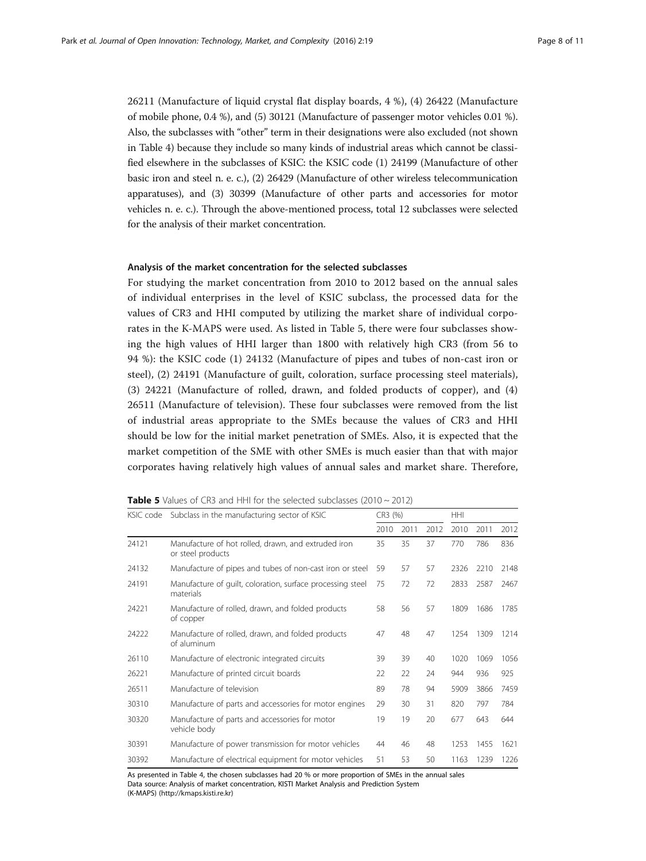<span id="page-7-0"></span>26211 (Manufacture of liquid crystal flat display boards, 4 %), (4) 26422 (Manufacture of mobile phone, 0.4 %), and (5) 30121 (Manufacture of passenger motor vehicles 0.01 %). Also, the subclasses with "other" term in their designations were also excluded (not shown in Table [4](#page-6-0)) because they include so many kinds of industrial areas which cannot be classified elsewhere in the subclasses of KSIC: the KSIC code (1) 24199 (Manufacture of other basic iron and steel n. e. c.), (2) 26429 (Manufacture of other wireless telecommunication apparatuses), and (3) 30399 (Manufacture of other parts and accessories for motor vehicles n. e. c.). Through the above-mentioned process, total 12 subclasses were selected for the analysis of their market concentration.

#### Analysis of the market concentration for the selected subclasses

For studying the market concentration from 2010 to 2012 based on the annual sales of individual enterprises in the level of KSIC subclass, the processed data for the values of CR3 and HHI computed by utilizing the market share of individual corporates in the K-MAPS were used. As listed in Table 5, there were four subclasses showing the high values of HHI larger than 1800 with relatively high CR3 (from 56 to 94 %): the KSIC code (1) 24132 (Manufacture of pipes and tubes of non-cast iron or steel), (2) 24191 (Manufacture of guilt, coloration, surface processing steel materials), (3) 24221 (Manufacture of rolled, drawn, and folded products of copper), and (4) 26511 (Manufacture of television). These four subclasses were removed from the list of industrial areas appropriate to the SMEs because the values of CR3 and HHI should be low for the initial market penetration of SMEs. Also, it is expected that the market competition of the SME with other SMEs is much easier than that with major corporates having relatively high values of annual sales and market share. Therefore,

| <b>Table 5</b> Values of CR3 and HHI for the selected subclasses (2010 $\sim$ 2012) |  |
|-------------------------------------------------------------------------------------|--|
|-------------------------------------------------------------------------------------|--|

| KSIC code | Subclass in the manufacturing sector of KSIC                             |      | CR3 (%) |      |      | HНI  |      |  |
|-----------|--------------------------------------------------------------------------|------|---------|------|------|------|------|--|
|           |                                                                          | 2010 | 2011    | 2012 | 2010 | 2011 | 2012 |  |
| 24121     | Manufacture of hot rolled, drawn, and extruded iron<br>or steel products | 35   | 35      | 37   | 770  | 786  | 836  |  |
| 24132     | Manufacture of pipes and tubes of non-cast iron or steel                 | 59   | 57      | 57   | 2326 | 2210 | 2148 |  |
| 24191     | Manufacture of guilt, coloration, surface processing steel<br>materials  | 75   | 72      | 72   | 2833 | 2587 | 2467 |  |
| 24221     | Manufacture of rolled, drawn, and folded products<br>of copper           | 58   | 56      | 57   | 1809 | 1686 | 1785 |  |
| 24222     | Manufacture of rolled, drawn, and folded products<br>of aluminum         | 47   | 48      | 47   | 1254 | 1309 | 1214 |  |
| 26110     | Manufacture of electronic integrated circuits                            | 39   | 39      | 40   | 1020 | 1069 | 1056 |  |
| 26221     | Manufacture of printed circuit boards                                    | 22   | 22      | 24   | 944  | 936  | 925  |  |
| 26511     | Manufacture of television                                                | 89   | 78      | 94   | 5909 | 3866 | 7459 |  |
| 30310     | Manufacture of parts and accessories for motor engines                   | 29   | 30      | 31   | 820  | 797  | 784  |  |
| 30320     | Manufacture of parts and accessories for motor<br>vehicle body           | 19   | 19      | 20   | 677  | 643  | 644  |  |
| 30391     | Manufacture of power transmission for motor vehicles                     | 44   | 46      | 48   | 1253 | 1455 | 1621 |  |
| 30392     | Manufacture of electrical equipment for motor vehicles                   | 51   | 53      | 50   | 1163 | 1239 | 1226 |  |

As presented in Table [4,](#page-6-0) the chosen subclasses had 20 % or more proportion of SMEs in the annual sales Data source: Analysis of market concentration, KISTI Market Analysis and Prediction System (K-MAPS) ([http://kmaps.kisti.re.kr](http://kmaps.kisti.re.kr/))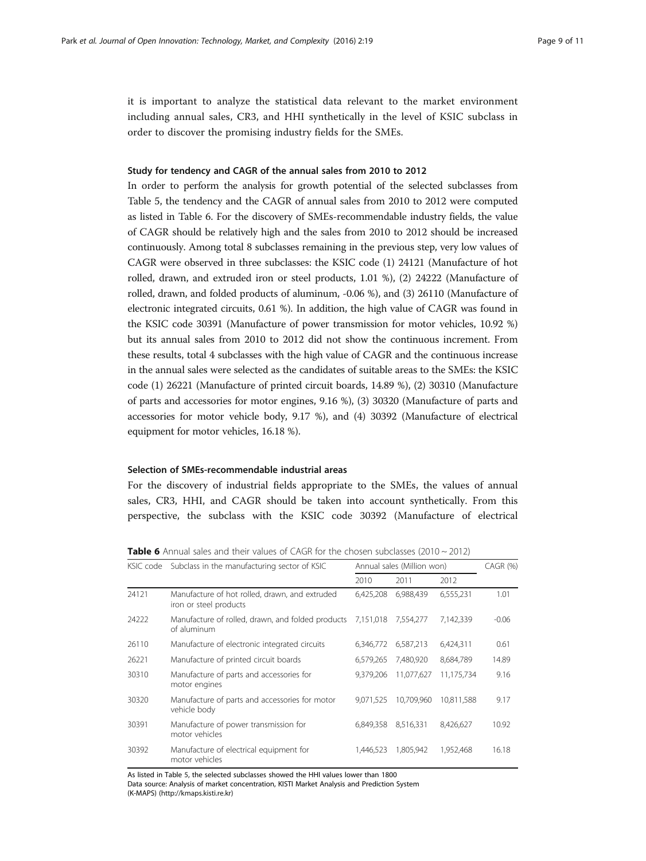it is important to analyze the statistical data relevant to the market environment including annual sales, CR3, and HHI synthetically in the level of KSIC subclass in order to discover the promising industry fields for the SMEs.

#### Study for tendency and CAGR of the annual sales from 2010 to 2012

In order to perform the analysis for growth potential of the selected subclasses from Table [5](#page-7-0), the tendency and the CAGR of annual sales from 2010 to 2012 were computed as listed in Table 6. For the discovery of SMEs-recommendable industry fields, the value of CAGR should be relatively high and the sales from 2010 to 2012 should be increased continuously. Among total 8 subclasses remaining in the previous step, very low values of CAGR were observed in three subclasses: the KSIC code (1) 24121 (Manufacture of hot rolled, drawn, and extruded iron or steel products, 1.01 %), (2) 24222 (Manufacture of rolled, drawn, and folded products of aluminum, -0.06 %), and (3) 26110 (Manufacture of electronic integrated circuits, 0.61 %). In addition, the high value of CAGR was found in the KSIC code 30391 (Manufacture of power transmission for motor vehicles, 10.92 %) but its annual sales from 2010 to 2012 did not show the continuous increment. From these results, total 4 subclasses with the high value of CAGR and the continuous increase in the annual sales were selected as the candidates of suitable areas to the SMEs: the KSIC code (1) 26221 (Manufacture of printed circuit boards, 14.89 %), (2) 30310 (Manufacture of parts and accessories for motor engines, 9.16 %), (3) 30320 (Manufacture of parts and accessories for motor vehicle body, 9.17 %), and (4) 30392 (Manufacture of electrical equipment for motor vehicles, 16.18 %).

#### Selection of SMEs-recommendable industrial areas

For the discovery of industrial fields appropriate to the SMEs, the values of annual sales, CR3, HHI, and CAGR should be taken into account synthetically. From this perspective, the subclass with the KSIC code 30392 (Manufacture of electrical

| <b>Table 6</b> Annual sales and their values of CAGR for the chosen subclasses (2010 $\sim$ 2012) |  |  |
|---------------------------------------------------------------------------------------------------|--|--|
|---------------------------------------------------------------------------------------------------|--|--|

| KSIC code | Subclass in the manufacturing sector of KSIC                             | Annual sales (Million won) | $CAGR$ $(%)$ |            |         |
|-----------|--------------------------------------------------------------------------|----------------------------|--------------|------------|---------|
|           |                                                                          | 2010                       | 2011         | 2012       |         |
| 24121     | Manufacture of hot rolled, drawn, and extruded<br>iron or steel products | 6,425,208                  | 6,988,439    | 6,555,231  | 1.01    |
| 24222     | Manufacture of rolled, drawn, and folded products<br>of aluminum         | 7,151,018                  | 7,554,277    | 7,142,339  | $-0.06$ |
| 26110     | Manufacture of electronic integrated circuits                            | 6,346,772                  | 6,587,213    | 6,424,311  | 0.61    |
| 26221     | Manufacture of printed circuit boards                                    | 6,579,265                  | 7.480.920    | 8.684.789  | 14.89   |
| 30310     | Manufacture of parts and accessories for<br>motor engines                | 9.379.206                  | 11.077.627   | 11.175.734 | 9.16    |
| 30320     | Manufacture of parts and accessories for motor<br>vehicle body           | 9.071.525                  | 10,709,960   | 10,811,588 | 9.17    |
| 30391     | Manufacture of power transmission for<br>motor vehicles                  | 6,849,358                  | 8,516,331    | 8,426,627  | 10.92   |
| 30392     | Manufacture of electrical equipment for<br>motor vehicles                | 1.446.523                  | 1,805,942    | 1,952,468  | 16.18   |

As listed in Table [5,](#page-7-0) the selected subclasses showed the HHI values lower than 1800

Data source: Analysis of market concentration, KISTI Market Analysis and Prediction System (K-MAPS) ([http://kmaps.kisti.re.kr](http://kmaps.kisti.re.kr/))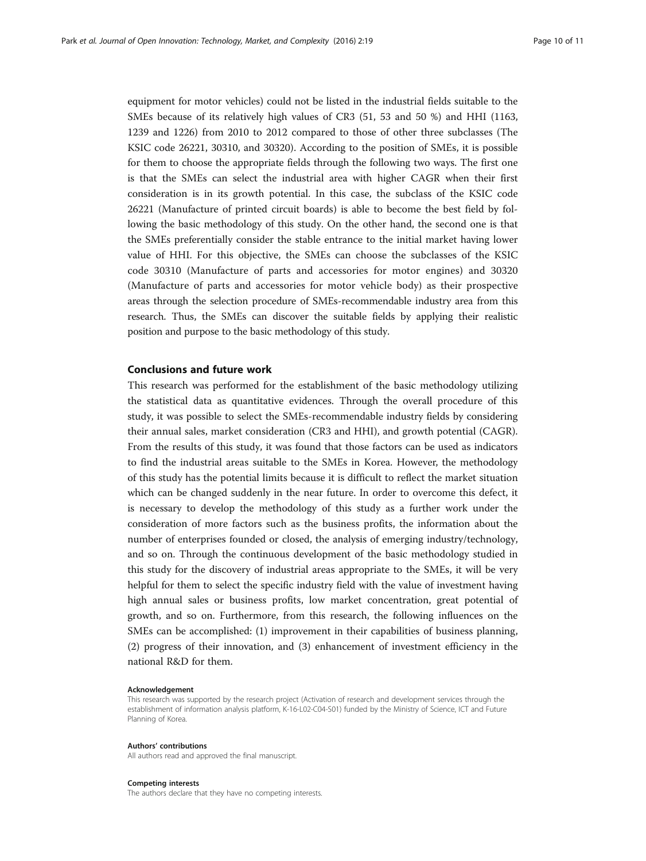equipment for motor vehicles) could not be listed in the industrial fields suitable to the SMEs because of its relatively high values of CR3 (51, 53 and 50 %) and HHI (1163, 1239 and 1226) from 2010 to 2012 compared to those of other three subclasses (The KSIC code 26221, 30310, and 30320). According to the position of SMEs, it is possible for them to choose the appropriate fields through the following two ways. The first one is that the SMEs can select the industrial area with higher CAGR when their first consideration is in its growth potential. In this case, the subclass of the KSIC code 26221 (Manufacture of printed circuit boards) is able to become the best field by following the basic methodology of this study. On the other hand, the second one is that the SMEs preferentially consider the stable entrance to the initial market having lower value of HHI. For this objective, the SMEs can choose the subclasses of the KSIC code 30310 (Manufacture of parts and accessories for motor engines) and 30320 (Manufacture of parts and accessories for motor vehicle body) as their prospective areas through the selection procedure of SMEs-recommendable industry area from this research. Thus, the SMEs can discover the suitable fields by applying their realistic position and purpose to the basic methodology of this study.

#### Conclusions and future work

This research was performed for the establishment of the basic methodology utilizing the statistical data as quantitative evidences. Through the overall procedure of this study, it was possible to select the SMEs-recommendable industry fields by considering their annual sales, market consideration (CR3 and HHI), and growth potential (CAGR). From the results of this study, it was found that those factors can be used as indicators to find the industrial areas suitable to the SMEs in Korea. However, the methodology of this study has the potential limits because it is difficult to reflect the market situation which can be changed suddenly in the near future. In order to overcome this defect, it is necessary to develop the methodology of this study as a further work under the consideration of more factors such as the business profits, the information about the number of enterprises founded or closed, the analysis of emerging industry/technology, and so on. Through the continuous development of the basic methodology studied in this study for the discovery of industrial areas appropriate to the SMEs, it will be very helpful for them to select the specific industry field with the value of investment having high annual sales or business profits, low market concentration, great potential of growth, and so on. Furthermore, from this research, the following influences on the SMEs can be accomplished: (1) improvement in their capabilities of business planning, (2) progress of their innovation, and (3) enhancement of investment efficiency in the national R&D for them.

#### Acknowledgement

This research was supported by the research project (Activation of research and development services through the establishment of information analysis platform, K-16-L02-C04-S01) funded by the Ministry of Science, ICT and Future Planning of Korea.

#### Authors' contributions

All authors read and approved the final manuscript.

#### Competing interests

The authors declare that they have no competing interests.